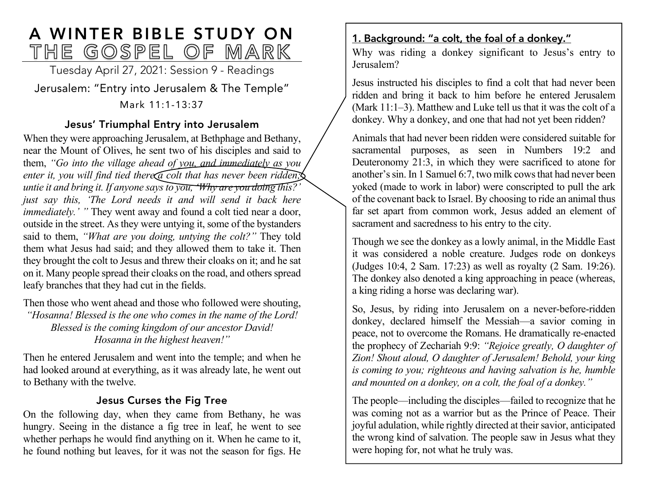# A WINTER BIBLE STUDY ON<br>THE GOSPEL OF MARK

Tuesday April 27, 2021: Session 9 - Readings Jerusalem: "Entry into Jerusalem & The Temple" Mark 11:1-13:37

## Jesus' Triumphal Entry into Jerusalem

When they were approaching Jerusalem, at Bethphage and Bethany, near the Mount of Olives, he sent two of his disciples and said to them, *"Go into the village ahead of you, and immediately as you*  enter it, you will find tied there *a* colt that has never been ridden; *untie it and bring it. If anyone says to you, 'Why are you doing this?'*  just say this, 'The Lord needs it and will send it back here *immediately.'* " They went away and found a colt tied near a door, outside in the street. As they were untying it, some of the bystanders said to them, *"What are you doing, untying the colt?"* They told them what Jesus had said; and they allowed them to take it. Then they brought the colt to Jesus and threw their cloaks on it; and he sat on it. Many people spread their cloaks on the road, and others spread leafy branches that they had cut in the fields.

Then those who went ahead and those who followed were shouting, *"Hosanna! Blessed is the one who comes in the name of the Lord! Blessed is the coming kingdom of our ancestor David! Hosanna in the highest heaven!"*

Then he entered Jerusalem and went into the temple; and when he had looked around at everything, as it was already late, he went out to Bethany with the twelve.

## Jesus Curses the Fig Tree

On the following day, when they came from Bethany, he was hungry. Seeing in the distance a fig tree in leaf, he went to see whether perhaps he would find anything on it. When he came to it, he found nothing but leaves, for it was not the season for figs. He

# 1. Background: "a colt, the foal of a donkey."

Why was riding a donkey significant to Jesus's entry to Jerusalem?

Jesus instructed his disciples to find a colt that had never been ridden and bring it back to him before he entered Jerusalem (Mark 11:1–3). Matthew and Luke tell us that it was the colt of a donkey. Why a donkey, and one that had not yet been ridden?

Animals that had never been ridden were considered suitable for sacramental purposes, as seen in Numbers 19:2 and Deuteronomy 21:3, in which they were sacrificed to atone for another's sin. In 1 Samuel 6:7, two milk cows that had never been yoked (made to work in labor) were conscripted to pull the ark of the covenant back to Israel. By choosing to ride an animal thus far set apart from common work, Jesus added an element of sacrament and sacredness to his entry to the city.

Though we see the donkey as a lowly animal, in the Middle East it was considered a noble creature. Judges rode on donkeys (Judges 10:4, 2 Sam. 17:23) as well as royalty (2 Sam. 19:26). The donkey also denoted a king approaching in peace (whereas, a king riding a horse was declaring war).

So, Jesus, by riding into Jerusalem on a never-before-ridden donkey, declared himself the Messiah—a savior coming in peace, not to overcome the Romans. He dramatically re-enacted the prophecy of Zechariah 9:9: *"Rejoice greatly, O daughter of Zion! Shout aloud, O daughter of Jerusalem! Behold, your king is coming to you; righteous and having salvation is he, humble and mounted on a donkey, on a colt, the foal of a donkey."*

The people—including the disciples—failed to recognize that he was coming not as a warrior but as the Prince of Peace. Their joyful adulation, while rightly directed at their savior, anticipated the wrong kind of salvation. The people saw in Jesus what they were hoping for, not what he truly was.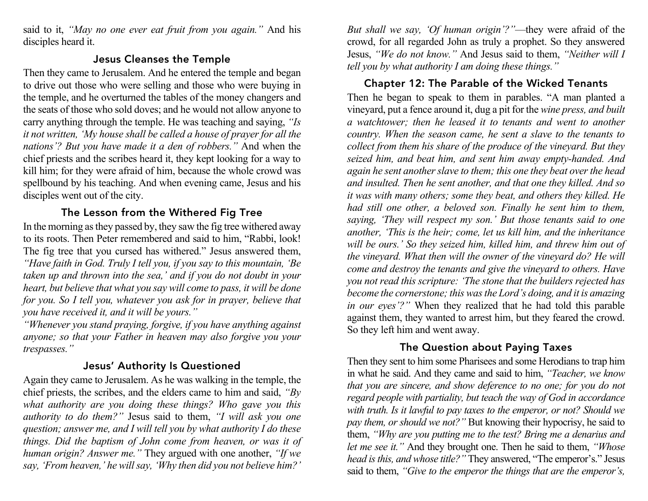said to it, *"May no one ever eat fruit from you again."* And his disciples heard it.

#### Jesus Cleanses the Temple

Then they came to Jerusalem. And he entered the temple and began to drive out those who were selling and those who were buying in the temple, and he overturned the tables of the money changers and the seats of those who sold doves; and he would not allow anyone to carry anything through the temple. He was teaching and saying, *"Is it not written, 'My house shall be called a house of prayer for all the nations'? But you have made it a den of robbers."* And when the chief priests and the scribes heard it, they kept looking for a way to kill him; for they were afraid of him, because the whole crowd was spellbound by his teaching. And when evening came, Jesus and his disciples went out of the city.

## The Lesson from the Withered Fig Tree

In the morning as they passed by, they saw the fig tree withered away to its roots. Then Peter remembered and said to him, "Rabbi, look! The fig tree that you cursed has withered." Jesus answered them, *"Have faith in God. Truly I tell you, if you say to this mountain, 'Be taken up and thrown into the sea,' and if you do not doubt in your heart, but believe that what you say will come to pass, it will be done for you. So I tell you, whatever you ask for in prayer, believe that you have received it, and it will be yours."*

*"Whenever you stand praying, forgive, if you have anything against anyone; so that your Father in heaven may also forgive you your trespasses."*

#### Jesus' Authority Is Questioned

Again they came to Jerusalem. As he was walking in the temple, the chief priests, the scribes, and the elders came to him and said, *"By what authority are you doing these things? Who gave you this authority to do them?"* Jesus said to them, *"I will ask you one question; answer me, and I will tell you by what authority I do these things. Did the baptism of John come from heaven, or was it of human origin? Answer me."* They argued with one another, *"If we say, 'From heaven,' he will say, 'Why then did you not believe him?'* 

*But shall we say, 'Of human origin'?"*—they were afraid of the crowd, for all regarded John as truly a prophet. So they answered Jesus, *"We do not know."* And Jesus said to them, *"Neither will I tell you by what authority I am doing these things."*

#### Chapter 12: The Parable of the Wicked Tenants

Then he began to speak to them in parables. "A man planted a vineyard, put a fence around it, dug a pit for the *wine press, and built a watchtower; then he leased it to tenants and went to another country. When the season came, he sent a slave to the tenants to collect from them his share of the produce of the vineyard. But they seized him, and beat him, and sent him away empty-handed. And again he sent another slave to them; this one they beat over the head and insulted. Then he sent another, and that one they killed. And so it was with many others; some they beat, and others they killed. He had still one other, a beloved son. Finally he sent him to them, saying, 'They will respect my son.' But those tenants said to one another, 'This is the heir; come, let us kill him, and the inheritance will be ours.' So they seized him, killed him, and threw him out of the vineyard. What then will the owner of the vineyard do? He will come and destroy the tenants and give the vineyard to others. Have you not read this scripture: 'The stone that the builders rejected has become the cornerstone; this was the Lord's doing, and it is amazing in our eyes'?"* When they realized that he had told this parable against them, they wanted to arrest him, but they feared the crowd. So they left him and went away.

## The Question about Paying Taxes

Then they sent to him some Pharisees and some Herodians to trap him in what he said. And they came and said to him, *"Teacher, we know that you are sincere, and show deference to no one; for you do not regard people with partiality, but teach the way of God in accordance with truth. Is it lawful to pay taxes to the emperor, or not? Should we pay them, or should we not?"* But knowing their hypocrisy, he said to them, *"Why are you putting me to the test? Bring me a denarius and let me see it."* And they brought one. Then he said to them, *"Whose head is this, and whose title?"* They answered, "The emperor's." Jesus said to them, *"Give to the emperor the things that are the emperor's,*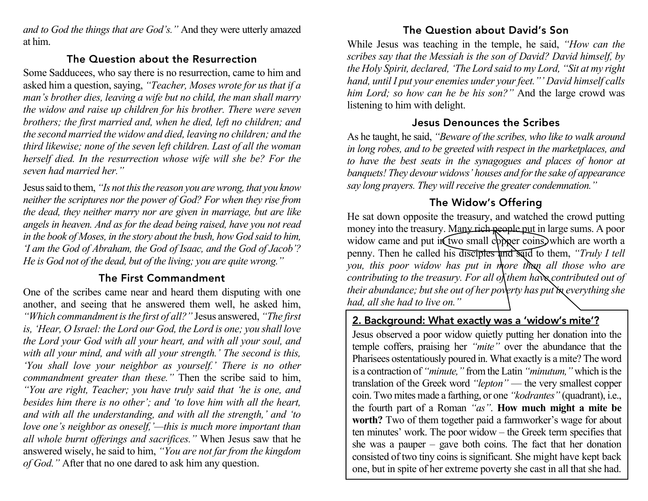*and to God the things that are God's."* And they were utterly amazed at him.

#### The Question about the Resurrection

Some Sadducees, who say there is no resurrection, came to him and asked him a question, saying, *"Teacher, Moses wrote for us that if a man's brother dies, leaving a wife but no child, the man shall marry the widow and raise up children for his brother. There were seven brothers; the first married and, when he died, left no children; and the second married the widow and died, leaving no children; and the third likewise; none of the seven left children. Last of all the woman herself died. In the resurrection whose wife will she be? For the seven had married her."*

Jesus said to them, *"Is not this the reason you are wrong, that you know neither the scriptures nor the power of God? For when they rise from the dead, they neither marry nor are given in marriage, but are like angels in heaven. And as for the dead being raised, have you not read in the book of Moses, in the story about the bush, how God said to him, 'I am the God of Abraham, the God of Isaac, and the God of Jacob'? He is God not of the dead, but of the living; you are quite wrong."*

#### The First Commandment

One of the scribes came near and heard them disputing with one another, and seeing that he answered them well, he asked him, *"Which commandment is the first of all?"* Jesus answered, *"The first is, 'Hear, O Israel: the Lord our God, the Lord is one; you shall love the Lord your God with all your heart, and with all your soul, and with all your mind, and with all your strength.' The second is this, 'You shall love your neighbor as yourself.' There is no other commandment greater than these."* Then the scribe said to him, *"You are right, Teacher; you have truly said that 'he is one, and besides him there is no other'; and 'to love him with all the heart, and with all the understanding, and with all the strength,' and 'to love one's neighbor as oneself,'—this is much more important than all whole burnt offerings and sacrifices."* When Jesus saw that he answered wisely, he said to him, *"You are not far from the kingdom of God."* After that no one dared to ask him any question.

## The Question about David's Son

While Jesus was teaching in the temple, he said, *"How can the scribes say that the Messiah is the son of David? David himself, by the Holy Spirit, declared, 'The Lord said to my Lord, "Sit at my right hand, until I put your enemies under your feet."' David himself calls him Lord; so how can he be his son?"* And the large crowd was listening to him with delight.

### Jesus Denounces the Scribes

As he taught, he said, *"Beware of the scribes, who like to walk around in long robes, and to be greeted with respect in the marketplaces, and to have the best seats in the synagogues and places of honor at banquets! They devour widows' houses and for the sake of appearance say long prayers. They will receive the greater condemnation."*

# The Widow's Offering

He sat down opposite the treasury, and watched the crowd putting money into the treasury. Many rich people put in large sums. A poor widow came and put in two small copper coins, which are worth a penny. Then he called his disciples and said to them, *"Truly I tell you, this poor widow has put in more than all those who are contributing to the treasury. For all of them have contributed out of their abundance; but she out of her poverty has put in everything she had, all she had to live on."*

#### 2. Background: What exactly was a 'widow's mite'?

Jesus observed a poor widow quietly putting her donation into the temple coffers, praising her *"mite"* over the abundance that the Pharisees ostentatiously poured in. What exactly is a mite? The word is a contraction of *"minute,"* from the Latin *"minutum,"* which isthe translation of the Greek word *"lepton"* — the very smallest copper coin. Two mites made a farthing, or one *"kodrantes"* (quadrant), i.e., the fourth part of a Roman *"as"*. **How much might a mite be worth?** Two of them together paid a farmworker's wage for about ten minutes' work. The poor widow – the Greek term specifies that she was a pauper – gave both coins. The fact that her donation consisted of two tiny coins is significant. She might have kept back one, but in spite of her extreme poverty she cast in all that she had.